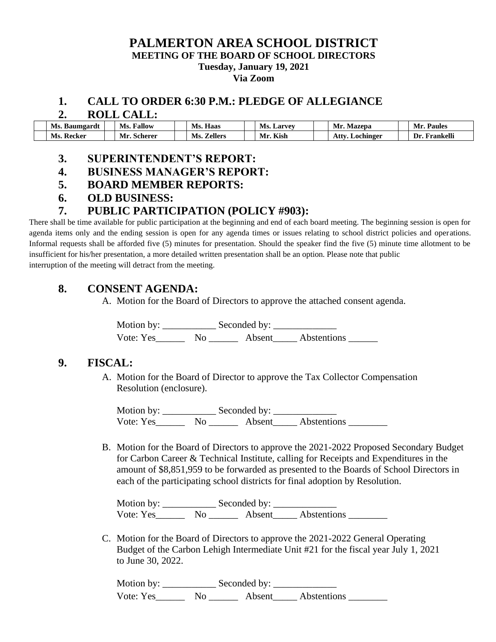#### **PALMERTON AREA SCHOOL DISTRICT MEETING OF THE BOARD OF SCHOOL DIRECTORS Tuesday, January 19, 2021 Via Zoom**

#### **1. CALL TO ORDER 6:30 P.M.: PLEDGE OF ALLEGIANCE**

#### **2. ROLL CALL:**

| Ms. Baumgardt   | <b>Fallow</b><br>Ms. | Haas<br>Ms.           | Ms.<br>Larvev | Mr<br>Mazepa      | Paules<br>Mı           |
|-----------------|----------------------|-----------------------|---------------|-------------------|------------------------|
| Ms.<br>. Recker | Mr.<br>. Scherer     | Ms.<br><b>Zellers</b> | Kish          | Attv<br>Lochinger | <b>Frankell</b><br>1)r |

# **3. SUPERINTENDENT'S REPORT:**

- **4. BUSINESS MANAGER'S REPORT:**
- **5. BOARD MEMBER REPORTS:**
- **6. OLD BUSINESS:**

# **7. PUBLIC PARTICIPATION (POLICY #903):**

There shall be time available for public participation at the beginning and end of each board meeting. The beginning session is open for agenda items only and the ending session is open for any agenda times or issues relating to school district policies and operations. Informal requests shall be afforded five (5) minutes for presentation. Should the speaker find the five (5) minute time allotment to be insufficient for his/her presentation, a more detailed written presentation shall be an option. Please note that public interruption of the meeting will detract from the meeting.

# **8. CONSENT AGENDA:**

A. Motion for the Board of Directors to approve the attached consent agenda.

Motion by: \_\_\_\_\_\_\_\_\_\_\_ Seconded by: \_\_\_\_\_\_\_\_\_\_\_\_\_ Vote: Yes\_\_\_\_\_\_\_\_ No \_\_\_\_\_\_\_ Absent\_\_\_\_\_ Abstentions \_\_\_\_\_\_\_

### **9. FISCAL:**

A. Motion for the Board of Director to approve the Tax Collector Compensation Resolution (enclosure).

Motion by: \_\_\_\_\_\_\_\_\_\_\_ Seconded by: \_\_\_\_\_\_\_\_\_\_\_\_\_ Vote: Yes\_\_\_\_\_\_\_\_ No \_\_\_\_\_\_\_\_ Absent\_\_\_\_\_Abstentions \_\_\_\_\_\_\_\_

B. Motion for the Board of Directors to approve the 2021-2022 Proposed Secondary Budget for Carbon Career & Technical Institute, calling for Receipts and Expenditures in the amount of \$8,851,959 to be forwarded as presented to the Boards of School Directors in each of the participating school districts for final adoption by Resolution.

Motion by: \_\_\_\_\_\_\_\_\_\_\_ Seconded by: \_\_\_\_\_\_\_\_\_\_\_\_\_ Vote: Yes\_\_\_\_\_\_\_\_ No \_\_\_\_\_\_\_ Absent\_\_\_\_\_ Abstentions \_\_\_\_\_\_\_\_\_

C. Motion for the Board of Directors to approve the 2021-2022 General Operating Budget of the Carbon Lehigh Intermediate Unit #21 for the fiscal year July 1, 2021 to June 30, 2022.

Motion by: \_\_\_\_\_\_\_\_\_\_\_ Seconded by: \_\_\_\_\_\_\_\_\_\_\_\_\_ Vote: Yes\_\_\_\_\_\_\_\_\_ No \_\_\_\_\_\_\_\_\_ Absent\_\_\_\_\_\_ Abstentions \_\_\_\_\_\_\_\_\_\_\_\_\_\_\_\_\_\_\_\_\_\_\_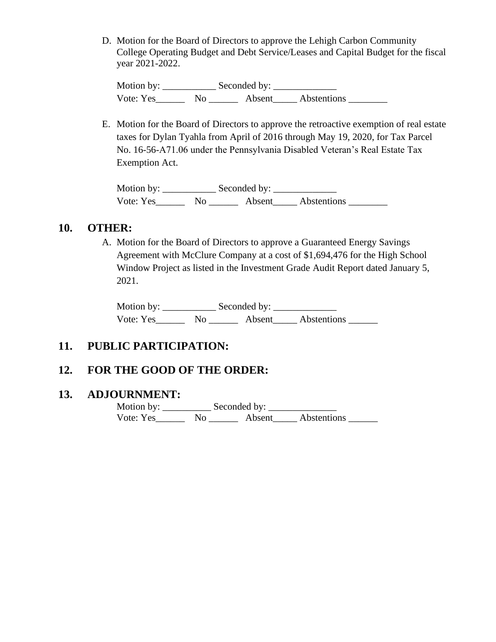D. Motion for the Board of Directors to approve the Lehigh Carbon Community College Operating Budget and Debt Service/Leases and Capital Budget for the fiscal year 2021-2022.

Motion by: \_\_\_\_\_\_\_\_\_\_\_ Seconded by: \_\_\_\_\_\_\_\_\_\_\_\_\_ Vote: Yes\_\_\_\_\_\_\_\_ No \_\_\_\_\_\_\_\_ Absent\_\_\_\_\_\_ Abstentions \_\_\_\_\_\_\_\_

E. Motion for the Board of Directors to approve the retroactive exemption of real estate taxes for Dylan Tyahla from April of 2016 through May 19, 2020, for Tax Parcel No. 16-56-A71.06 under the Pennsylvania Disabled Veteran's Real Estate Tax Exemption Act.

Motion by: \_\_\_\_\_\_\_\_\_\_\_\_\_\_ Seconded by: Vote: Yes\_\_\_\_\_\_\_\_ No \_\_\_\_\_\_\_\_ Absent\_\_\_\_\_\_ Abstentions \_\_\_\_\_\_\_\_\_

### **10. OTHER:**

A. Motion for the Board of Directors to approve a Guaranteed Energy Savings Agreement with McClure Company at a cost of \$1,694,476 for the High School Window Project as listed in the Investment Grade Audit Report dated January 5, 2021.

Motion by: \_\_\_\_\_\_\_\_\_\_\_ Seconded by: \_\_\_\_\_\_\_\_\_\_\_\_\_ Vote: Yes\_\_\_\_\_\_ No \_\_\_\_\_\_ Absent\_\_\_\_\_ Abstentions \_\_\_\_\_\_

# **11. PUBLIC PARTICIPATION:**

### **12. FOR THE GOOD OF THE ORDER:**

#### **13. ADJOURNMENT:**

 Motion by: \_\_\_\_\_\_\_\_\_\_ Seconded by: \_\_\_\_\_\_\_\_\_\_\_\_\_\_ Vote: Yes\_\_\_\_\_\_ No \_\_\_\_\_\_ Absent\_\_\_\_\_ Abstentions \_\_\_\_\_\_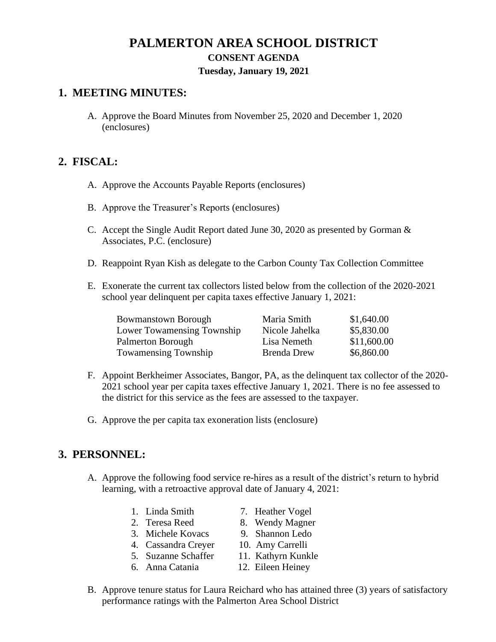# **PALMERTON AREA SCHOOL DISTRICT CONSENT AGENDA Tuesday, January 19, 2021**

# **1. MEETING MINUTES:**

A. Approve the Board Minutes from November 25, 2020 and December 1, 2020 (enclosures)

# **2. FISCAL:**

- A. Approve the Accounts Payable Reports (enclosures)
- B. Approve the Treasurer's Reports (enclosures)
- C. Accept the Single Audit Report dated June 30, 2020 as presented by Gorman & Associates, P.C. (enclosure)
- D. Reappoint Ryan Kish as delegate to the Carbon County Tax Collection Committee
- E. Exonerate the current tax collectors listed below from the collection of the 2020-2021 school year delinquent per capita taxes effective January 1, 2021:

| <b>Bowmanstown Borough</b>  | Maria Smith        | \$1,640.00  |
|-----------------------------|--------------------|-------------|
| Lower Towamensing Township  | Nicole Jahelka     | \$5,830.00  |
| Palmerton Borough           | Lisa Nemeth        | \$11,600.00 |
| <b>Towamensing Township</b> | <b>Brenda Drew</b> | \$6,860.00  |

- F. Appoint Berkheimer Associates, Bangor, PA, as the delinquent tax collector of the 2020- 2021 school year per capita taxes effective January 1, 2021. There is no fee assessed to the district for this service as the fees are assessed to the taxpayer.
- G. Approve the per capita tax exoneration lists (enclosure)

# **3. PERSONNEL:**

- A. Approve the following food service re-hires as a result of the district's return to hybrid learning, with a retroactive approval date of January 4, 2021:
	- 1. Linda Smith 7. Heather Vogel
	-
	- 3. Michele Kovacs 9. Shannon Ledo
	- 4. Cassandra Creyer 10. Amy Carrelli
	- -
- B. Approve tenure status for Laura Reichard who has attained three (3) years of satisfactory performance ratings with the Palmerton Area School District
- 
- 2. Teresa Reed 8. Wendy Magner
	-
	-
- 5. Suzanne Schaffer 11. Kathyrn Kunkle
- 6. Anna Catania 12. Eileen Heiney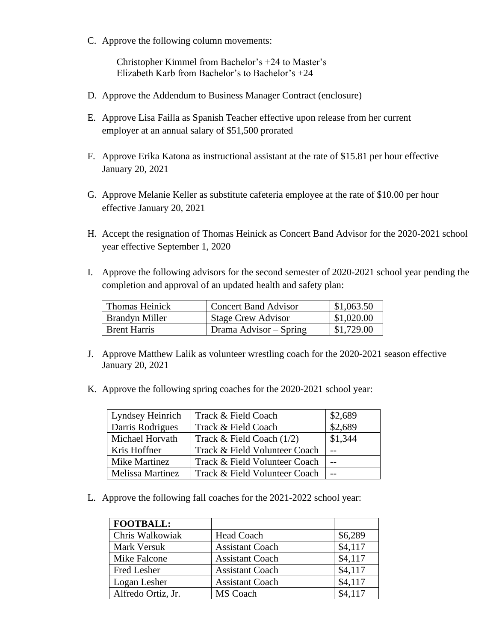C. Approve the following column movements:

Christopher Kimmel from Bachelor's +24 to Master's Elizabeth Karb from Bachelor's to Bachelor's +24

- D. Approve the Addendum to Business Manager Contract (enclosure)
- E. Approve Lisa Failla as Spanish Teacher effective upon release from her current employer at an annual salary of \$51,500 prorated
- F. Approve Erika Katona as instructional assistant at the rate of \$15.81 per hour effective January 20, 2021
- G. Approve Melanie Keller as substitute cafeteria employee at the rate of \$10.00 per hour effective January 20, 2021
- H. Accept the resignation of Thomas Heinick as Concert Band Advisor for the 2020-2021 school year effective September 1, 2020
- I. Approve the following advisors for the second semester of 2020-2021 school year pending the completion and approval of an updated health and safety plan:

| Thomas Heinick        | <b>Concert Band Advisor</b> | \$1,063.50 |
|-----------------------|-----------------------------|------------|
| <b>Brandyn Miller</b> | <b>Stage Crew Advisor</b>   | \$1,020.00 |
| <b>Brent Harris</b>   | Drama Advisor – Spring      | \$1,729.00 |

- J. Approve Matthew Lalik as volunteer wrestling coach for the 2020-2021 season effective January 20, 2021
- K. Approve the following spring coaches for the 2020-2021 school year:

| Lyndsey Heinrich | Track & Field Coach           | \$2,689 |
|------------------|-------------------------------|---------|
| Darris Rodrigues | Track & Field Coach           | \$2,689 |
| Michael Horvath  | Track & Field Coach $(1/2)$   | \$1,344 |
| Kris Hoffner     | Track & Field Volunteer Coach |         |
| Mike Martinez    | Track & Field Volunteer Coach |         |
| Melissa Martinez | Track & Field Volunteer Coach |         |

L. Approve the following fall coaches for the 2021-2022 school year:

| <b>FOOTBALL:</b>   |                        |         |
|--------------------|------------------------|---------|
| Chris Walkowiak    | <b>Head Coach</b>      | \$6,289 |
| Mark Versuk        | <b>Assistant Coach</b> | \$4,117 |
| Mike Falcone       | <b>Assistant Coach</b> | \$4,117 |
| Fred Lesher        | <b>Assistant Coach</b> | \$4,117 |
| Logan Lesher       | <b>Assistant Coach</b> | \$4,117 |
| Alfredo Ortiz, Jr. | <b>MS</b> Coach        | \$4,117 |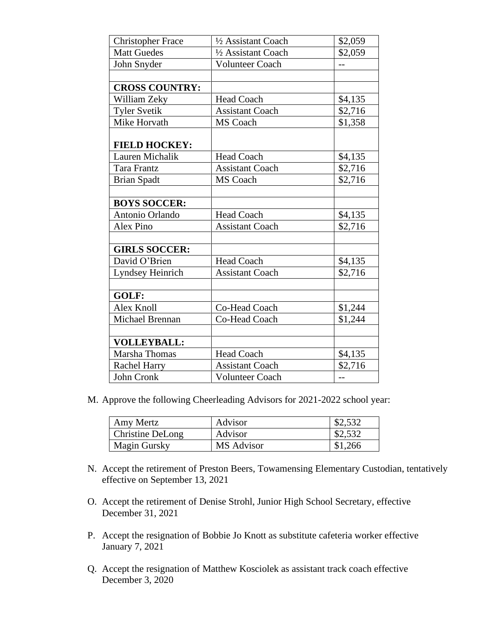| <b>Christopher Frace</b> | 1/2 Assistant Coach    | \$2,059 |
|--------------------------|------------------------|---------|
| <b>Matt Guedes</b>       | 1/2 Assistant Coach    | \$2,059 |
| John Snyder              | Volunteer Coach        | --      |
|                          |                        |         |
| <b>CROSS COUNTRY:</b>    |                        |         |
| William Zeky             | <b>Head Coach</b>      | \$4,135 |
| <b>Tyler Svetik</b>      | <b>Assistant Coach</b> | \$2,716 |
| Mike Horvath             | <b>MS</b> Coach        | \$1,358 |
| <b>FIELD HOCKEY:</b>     |                        |         |
| Lauren Michalik          | <b>Head Coach</b>      | \$4,135 |
| <b>Tara Frantz</b>       | <b>Assistant Coach</b> | \$2,716 |
| <b>Brian Spadt</b>       | MS Coach               | \$2,716 |
|                          |                        |         |
| <b>BOYS SOCCER:</b>      |                        |         |
| Antonio Orlando          | <b>Head Coach</b>      | \$4,135 |
| Alex Pino                | <b>Assistant Coach</b> | \$2,716 |
|                          |                        |         |
| <b>GIRLS SOCCER:</b>     |                        |         |
| David O'Brien            | <b>Head Coach</b>      | \$4,135 |
| Lyndsey Heinrich         | <b>Assistant Coach</b> | \$2,716 |
|                          |                        |         |
| GOLF:                    |                        |         |
| Alex Knoll               | Co-Head Coach          | \$1,244 |
| Michael Brennan          | Co-Head Coach          | \$1,244 |
|                          |                        |         |
| <b>VOLLEYBALL:</b>       |                        |         |
| Marsha Thomas            | Head Coach             | \$4,135 |
| <b>Rachel Harry</b>      | <b>Assistant Coach</b> | \$2,716 |
| John Cronk               | <b>Volunteer Coach</b> | --      |

M. Approve the following Cheerleading Advisors for 2021-2022 school year:

| Amy Mertz        | Advisor    | \$2,532 |
|------------------|------------|---------|
| Christine DeLong | Advisor    | \$2,532 |
| Magin Gursky     | MS Advisor | \$1,266 |

- N. Accept the retirement of Preston Beers, Towamensing Elementary Custodian, tentatively effective on September 13, 2021
- O. Accept the retirement of Denise Strohl, Junior High School Secretary, effective December 31, 2021
- P. Accept the resignation of Bobbie Jo Knott as substitute cafeteria worker effective January 7, 2021
- Q. Accept the resignation of Matthew Kosciolek as assistant track coach effective December 3, 2020